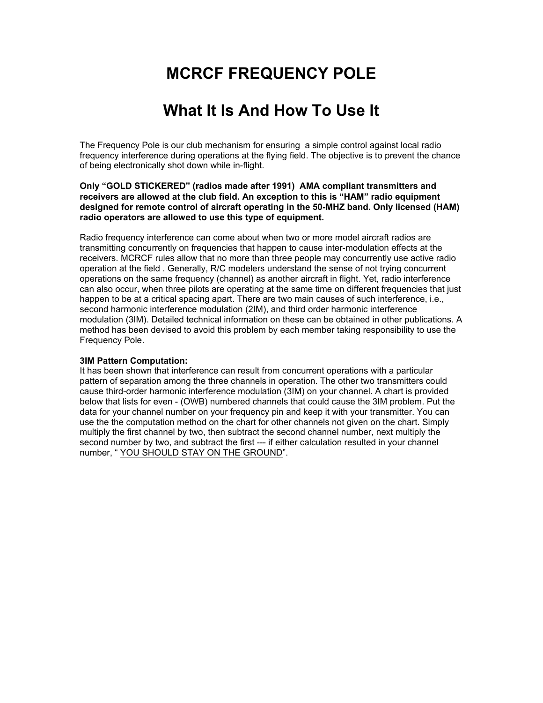# **MCRCF FREQUENCY POLE**

## **What It Is And How To Use It**

The Frequency Pole is our club mechanism for ensuring a simple control against local radio frequency interference during operations at the flying field. The objective is to prevent the chance of being electronically shot down while in-flight.

### **Only "GOLD STICKERED" (radios made after 1991) AMA compliant transmitters and receivers are allowed at the club field. An exception to this is "HAM" radio equipment designed for remote control of aircraft operating in the 50-MHZ band. Only licensed (HAM) radio operators are allowed to use this type of equipment.**

Radio frequency interference can come about when two or more model aircraft radios are transmitting concurrently on frequencies that happen to cause inter-modulation effects at the receivers. MCRCF rules allow that no more than three people may concurrently use active radio operation at the field . Generally, R/C modelers understand the sense of not trying concurrent operations on the same frequency (channel) as another aircraft in flight. Yet, radio interference can also occur, when three pilots are operating at the same time on different frequencies that just happen to be at a critical spacing apart. There are two main causes of such interference, i.e., second harmonic interference modulation (2IM), and third order harmonic interference modulation (3IM). Detailed technical information on these can be obtained in other publications. A method has been devised to avoid this problem by each member taking responsibility to use the Frequency Pole.

### **3IM Pattern Computation:**

It has been shown that interference can result from concurrent operations with a particular pattern of separation among the three channels in operation. The other two transmitters could cause third-order harmonic interference modulation (3IM) on your channel. A chart is provided below that lists for even - (OWB) numbered channels that could cause the 3IM problem. Put the data for your channel number on your frequency pin and keep it with your transmitter. You can use the the computation method on the chart for other channels not given on the chart. Simply multiply the first channel by two, then subtract the second channel number, next multiply the second number by two, and subtract the first --- if either calculation resulted in your channel number, " YOU SHOULD STAY ON THE GROUND".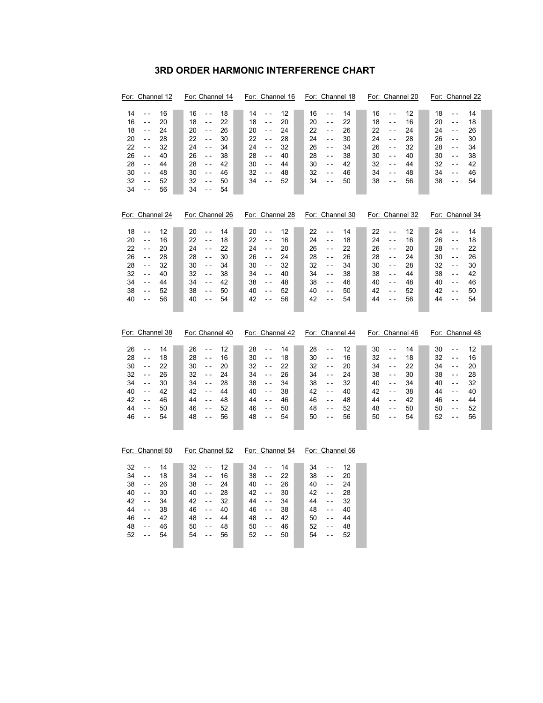## **3RD ORDER HARMONIC INTERFERENCE CHART**

| For: Channel 12                                                                                                                                                                                                                                                                      | For: Channel 14                                                                                                                                                                                                                                                                                | For: Channel 16                                                                                                                                                                                                                                                       | For: Channel 18                                                                                                                                                                                                                                                                    | For: Channel 20                                                                                                                                                                                                                                                               | For: Channel 22                                                                                                                                                                                                                                                                          |
|--------------------------------------------------------------------------------------------------------------------------------------------------------------------------------------------------------------------------------------------------------------------------------------|------------------------------------------------------------------------------------------------------------------------------------------------------------------------------------------------------------------------------------------------------------------------------------------------|-----------------------------------------------------------------------------------------------------------------------------------------------------------------------------------------------------------------------------------------------------------------------|------------------------------------------------------------------------------------------------------------------------------------------------------------------------------------------------------------------------------------------------------------------------------------|-------------------------------------------------------------------------------------------------------------------------------------------------------------------------------------------------------------------------------------------------------------------------------|------------------------------------------------------------------------------------------------------------------------------------------------------------------------------------------------------------------------------------------------------------------------------------------|
| 14<br>16<br>$\overline{a}$<br>16<br>20<br>$\overline{a}$<br>18<br>24<br>$\overline{a}$<br>20<br>$\overline{a}$<br>28<br>22<br>32<br>$\overline{a}$<br>26<br>40<br>$ -$<br>28<br>44<br>$\overline{a}$<br>30<br>48<br>$ -$<br>32<br>$\overline{a}$<br>52<br>34<br>56<br>$-$            | 16<br>18<br>$\sim$ $\sim$<br>18<br>22<br>$\sim$ $\sim$<br>20<br>26<br>$\sim$ $\sim$<br>22<br>$\sim$ $\sim$<br>30<br>24<br>$\sim$ $\sim$<br>34<br>26<br>38<br>$\sim$ $\sim$<br>28<br>42<br>$\sim$ $\sim$<br>30<br>46<br>$\sim$ $\sim$<br>32<br>$\sim$ $\sim$<br>50<br>34<br>54<br>$\sim$ $\sim$ | 14<br>12<br>$\sim$ $\sim$<br>18<br>20<br>$\sim$ $\sim$<br>20<br>24<br>$\sim$ $\sim$<br>22<br>28<br>$\sim$ $\sim$<br>24<br>32<br>$\sim$ $\sim$<br>28<br>40<br>$\sim$ $\sim$<br>30<br>44<br>$\sim$ $\sim$<br>32<br>48<br>$\sim$ $\sim$<br>34<br>52<br>$\sim$ $\sim$     | 16<br>14<br>$\overline{a}$<br>20<br>22<br>$\sim$ $\sim$<br>22<br>26<br>$\sim$ $\sim$<br>24<br>30<br>$\sim$ $\sim$<br>26<br>$\overline{a}$<br>34<br>38<br>28<br>$\sim$ $\sim$<br>30<br>42<br>$\overline{a}$<br>32<br>46<br>$\sim$ $\sim$<br>34<br>50<br>$\sim$ $\sim$               | 16<br>12<br>$\sim$ $\sim$<br>18<br>16<br>$\sim$ $\sim$<br>22<br>24<br>$\sim$ $\sim$<br>24<br>$\sim$ $\sim$<br>28<br>26<br>32<br>$\sim$ $\sim$<br>30<br>40<br>$\sim$ $\sim$<br>32<br>44<br>$\sim$ $\sim$<br>34<br>48<br>$\sim$ $\sim$<br>38<br>$\sim$ $\sim$<br>56             | 18<br>14<br>$\ddot{\phantom{1}}$<br>20<br>18<br>$\sim$ $\sim$<br>24<br>26<br>$\overline{a}$<br>26<br>30<br>$\sim$ $\sim$<br>28<br>34<br>$\overline{a}$<br>30<br>38<br>$\overline{\phantom{a}}$<br>32<br>42<br>$\overline{a}$<br>34<br>46<br>$\sim$ $\sim$<br>38<br>$\sim$ $\sim$<br>54   |
| For: Channel 24                                                                                                                                                                                                                                                                      | For: Channel 26                                                                                                                                                                                                                                                                                | For: Channel 28                                                                                                                                                                                                                                                       | For: Channel 30                                                                                                                                                                                                                                                                    | For: Channel 32                                                                                                                                                                                                                                                               | For: Channel 34                                                                                                                                                                                                                                                                          |
| 18<br>$\overline{\phantom{a}}$<br>12<br>20<br>16<br>$\overline{a}$<br>22<br>20<br>$\overline{a}$<br>26<br>28<br>$\overline{a}$<br>28<br>32<br>$\overline{a}$<br>32<br>40<br>$\overline{\phantom{a}}$<br>34<br>44<br>$\overline{a}$<br>38<br>52<br>$\overline{a}$<br>40<br>56<br>$ -$ | 20<br>$\ddotsc$<br>14<br>22<br>18<br>$\sim$ $\sim$<br>24<br>22<br>$\sim$ $\sim$<br>28<br>30<br>$\sim$ $\sim$<br>30<br>34<br>$\sim$ $\sim$<br>32<br>38<br>$\sim$ $\sim$<br>34<br>42<br>$\sim$ $\sim$<br>38<br>$\sim$ $\sim$<br>50<br>40<br>54<br>$\sim$ $\sim$                                  | 20<br>$\omega$ $\omega$<br>12<br>22<br>16<br>$\sim$ $\sim$<br>24<br>20<br>$\sim$ $\sim$<br>26<br>24<br>$\sim$ $\sim$<br>30<br>32<br>$\sim$ $\sim$<br>34<br>40<br>$\sim$ $\sim$<br>38<br>48<br>$\sim$ $\sim$<br>40<br>52<br>$\sim$ $\sim$<br>42<br>56<br>$\sim$ $\sim$ | 22<br>$\overline{\phantom{a}}$<br>14<br>24<br>18<br>$\overline{a}$<br>26<br>$\overline{a}$<br>22<br>28<br>26<br>$\overline{a}$<br>32<br>34<br>$\sim$ $\sim$<br>34<br>38<br>$\sim$ $\sim$<br>38<br>46<br>$\overline{a}$<br>40<br>50<br>$\overline{a}$<br>42<br>54<br>$\overline{a}$ | 22<br>$\mathbb{L}^{\mathbb{L}}$<br>12<br>24<br>16<br>$\sim$ $\sim$<br>26<br>20<br>$\sim$ $\sim$<br>28<br>24<br>$\sim$ $\sim$<br>30<br>28<br>$\sim$ $\sim$<br>38<br>44<br>$\sim$ $\sim$<br>40<br>$\sim$ $\sim$<br>48<br>42<br>52<br>$\sim$ $\sim$<br>44<br>$\sim$ $\sim$<br>56 | 24<br>$\ddotsc$<br>14<br>26<br>18<br>$\overline{a}$<br>28<br>22<br>$\overline{\phantom{a}}$<br>30<br>26<br>$\overline{a}$<br>32<br>30<br>$\overline{a}$<br>38<br>42<br>$\overline{\phantom{a}}$<br>40<br>46<br>$\overline{a}$<br>42<br>50<br>$\sim$ $\sim$<br>44<br>54<br>$\overline{a}$ |
| For: Channel 38                                                                                                                                                                                                                                                                      | For: Channel 40                                                                                                                                                                                                                                                                                | For: Channel 42                                                                                                                                                                                                                                                       | For: Channel 44                                                                                                                                                                                                                                                                    | For: Channel 46                                                                                                                                                                                                                                                               | For: Channel 48                                                                                                                                                                                                                                                                          |
| 26<br>14<br>$\overline{a}$<br>28<br>$\overline{\phantom{a}}$<br>18<br>30<br>22<br>$\overline{a}$<br>32<br>26<br>$ -$<br>34<br>30<br>$\overline{\phantom{a}}$<br>40<br>42<br>$\overline{a}$<br>42<br>46<br>- -<br>44<br>50<br>$ -$<br>46<br>54<br>$ -$                                | 26<br>12<br>$\sim$ $\sim$<br>28<br>16<br>$\Box$ .<br>30<br>20<br>$\sim$ $\sim$<br>32<br>24<br>$\sim$ $\sim$<br>34<br>28<br>$\sim$ $\sim$<br>42<br>$\sim$ $\sim$<br>44<br>44<br>48<br>$\sim$ $\sim$<br>46<br>52<br>$\sim$ $\sim$<br>48<br>56<br>$\sim$ $\sim$                                   | 28<br>14<br>$\sim$ $\sim$<br>30<br>$\omega$ $\omega$<br>18<br>32<br>22<br>$\sim$ $\sim$<br>34<br>26<br>$\sim$ $\sim$<br>38<br>34<br>$\sim$ $\sim$<br>40<br>38<br>$\sim$ $\sim$<br>44<br>46<br>$\sim$ $\sim$<br>46<br>50<br>$\sim$ $\sim$<br>48<br>54<br>$\sim$ $\sim$ | 28<br>12<br>$\overline{a}$<br>30<br>$\omega_{\rm c}$<br>16<br>32<br>20<br>$ -$<br>34<br>24<br>$\sim$ $\sim$<br>38<br>32<br>$\sim$ $\sim$<br>42<br>40<br>$\overline{a}$<br>46<br>48<br>$\sim$ $\sim$<br>48<br>52<br>$\sim$ $\sim$<br>50<br>56<br>$\overline{a}$                     | 30<br>14<br>$\sim$ $\sim$<br>32<br>$\sim$ $\sim$<br>18<br>34<br>$\omega_{\rm c}$<br>22<br>38<br>30<br>$\sim$ $\sim$<br>40<br>$\sim$ $\sim$<br>34<br>42<br>38<br>$\sim$ $\sim$<br>44<br>$\overline{a}$<br>42<br>48<br>50<br>$\sim$ $\sim$<br>50<br>54<br>$\sim$ $\sim$         | 30<br>12<br>$\overline{a}$<br>32<br>16<br>$\sim$ $\sim$<br>34<br>20<br>$ -$<br>38<br>28<br>$\sim$ $\sim$<br>40<br>32<br>$\overline{\phantom{a}}$<br>44<br>40<br>$\sim$ $\sim$<br>46<br>44<br>$ -$<br>50<br>$\sim$ $\sim$<br>52<br>52<br>56<br>$\overline{a}$                             |
| For: Channel 50                                                                                                                                                                                                                                                                      | For: Channel 52                                                                                                                                                                                                                                                                                | For: Channel 54                                                                                                                                                                                                                                                       | For: Channel 56                                                                                                                                                                                                                                                                    |                                                                                                                                                                                                                                                                               |                                                                                                                                                                                                                                                                                          |
| 32<br>14<br>$\overline{a}$<br>34<br>$\sim$ $\sim$<br>18<br>38<br>26<br>$ -$<br>40<br>$\overline{a}$<br>30<br>42<br>34<br>$\overline{a}$<br>44<br>$\overline{a}$<br>38                                                                                                                | 32<br>12<br>$ -$<br>34<br>16<br>$\sim$ $\sim$<br>38<br>24<br>$\sim$ $\sim$<br>40<br>28<br>$\sim$ $\sim$<br>42<br>32<br>$\sim$ $\sim$                                                                                                                                                           | 34<br>$\overline{\phantom{a}}$<br>14<br>38<br>$\sim$ $\sim$<br>22<br>40<br>26<br>$\sim$ $\sim$<br>42<br>$\sim$ $\sim$<br>30<br>44<br>34<br>$\sim$ $\sim$<br>46<br>38<br>$\sim$ $\sim$                                                                                 | 34<br>$\overline{\phantom{a}}$<br>12<br>38<br>$\omega_{\rm c}$<br>20<br>40<br>24<br>$\sim$ $\sim$<br>28<br>42<br>$\sim$ $\sim$<br>32<br>44<br>$ -$<br>48<br>$\sim$ $\sim$<br>40                                                                                                    |                                                                                                                                                                                                                                                                               |                                                                                                                                                                                                                                                                                          |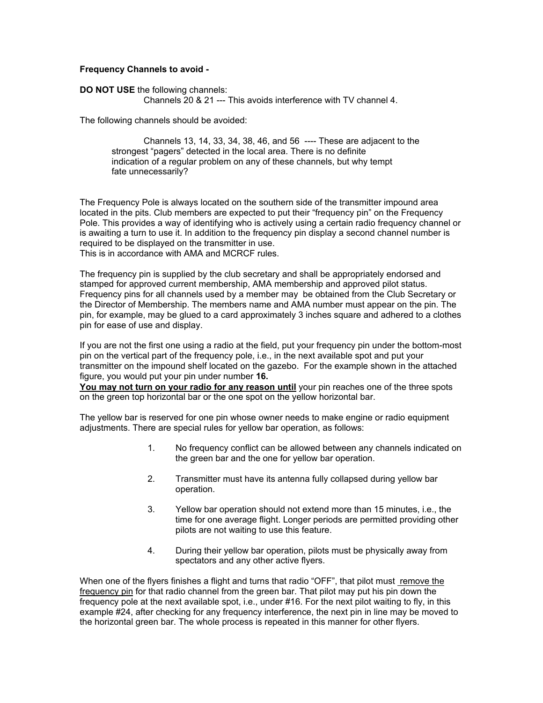### **Frequency Channels to avoid -**

### **DO NOT USE** the following channels:

Channels 20 & 21 --- This avoids interference with TV channel 4.

The following channels should be avoided:

 Channels 13, 14, 33, 34, 38, 46, and 56 ---- These are adjacent to the strongest "pagers" detected in the local area. There is no definite indication of a regular problem on any of these channels, but why tempt fate unnecessarily?

The Frequency Pole is always located on the southern side of the transmitter impound area located in the pits. Club members are expected to put their "frequency pin" on the Frequency Pole. This provides a way of identifying who is actively using a certain radio frequency channel or is awaiting a turn to use it. In addition to the frequency pin display a second channel number is required to be displayed on the transmitter in use. This is in accordance with AMA and MCRCF rules.

The frequency pin is supplied by the club secretary and shall be appropriately endorsed and stamped for approved current membership, AMA membership and approved pilot status. Frequency pins for all channels used by a member may be obtained from the Club Secretary or the Director of Membership. The members name and AMA number must appear on the pin. The pin, for example, may be glued to a card approximately 3 inches square and adhered to a clothes pin for ease of use and display.

If you are not the first one using a radio at the field, put your frequency pin under the bottom-most pin on the vertical part of the frequency pole, i.e., in the next available spot and put your transmitter on the impound shelf located on the gazebo. For the example shown in the attached figure, you would put your pin under number **16.** 

**You may not turn on your radio for any reason until** your pin reaches one of the three spots on the green top horizontal bar or the one spot on the yellow horizontal bar.

The yellow bar is reserved for one pin whose owner needs to make engine or radio equipment adjustments. There are special rules for yellow bar operation, as follows:

- 1. No frequency conflict can be allowed between any channels indicated on the green bar and the one for yellow bar operation.
- 2. Transmitter must have its antenna fully collapsed during yellow bar operation.
- 3. Yellow bar operation should not extend more than 15 minutes, i.e., the time for one average flight. Longer periods are permitted providing other pilots are not waiting to use this feature.
- 4. During their yellow bar operation, pilots must be physically away from spectators and any other active flyers.

When one of the flyers finishes a flight and turns that radio "OFF", that pilot must remove the frequency pin for that radio channel from the green bar. That pilot may put his pin down the frequency pole at the next available spot, i.e., under #16. For the next pilot waiting to fly, in this example #24, after checking for any frequency interference, the next pin in line may be moved to the horizontal green bar. The whole process is repeated in this manner for other flyers.